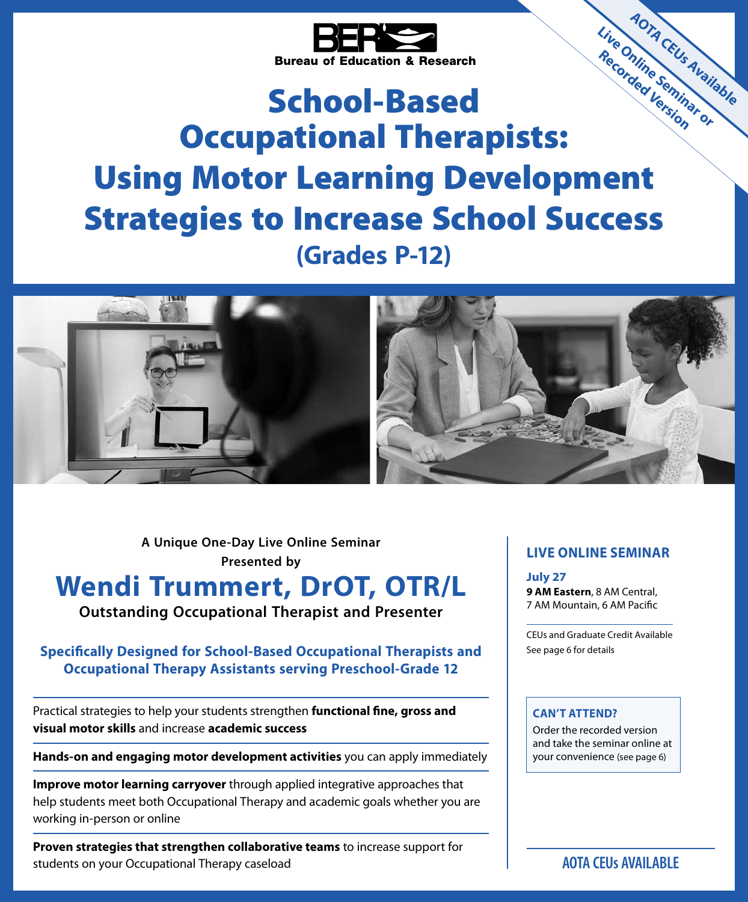

# School-Based Occupational Therapists: Using Motor Learning Development Strategies to Increase School Success **(Grades P-12) Live Online Seminar or Recorded Version Live Online Seminatole**



**A Unique One-Day Live Online Seminar Presented by**

# **Wendi Trummert, DrOT, OTR/L Outstanding Occupational Therapist and Presenter**

### **Specifically Designed for School-Based Occupational Therapists and Occupational Therapy Assistants serving Preschool-Grade 12**

Practical strategies to help your students strengthen **functional fine, gross and visual motor skills** and increase **academic success**

**Hands-on and engaging motor development activities** you can apply immediately

**Improve motor learning carryover** through applied integrative approaches that help students meet both Occupational Therapy and academic goals whether you are working in-person or online

**Proven strategies that strengthen collaborative teams** to increase support for students on your Occupational Therapy caseload

### **LIVE ONLINE SEMINAR**

**July 27 9 AM Eastern**, 8 AM Central, 7 AM Mountain, 6 AM Pacific

CEUs and Graduate Credit Available See page 6 for details

#### **CAN'T ATTEND?**

Order the recorded version and take the seminar online at your convenience (see page 6)

**AOTA CEUs AVAILABLE**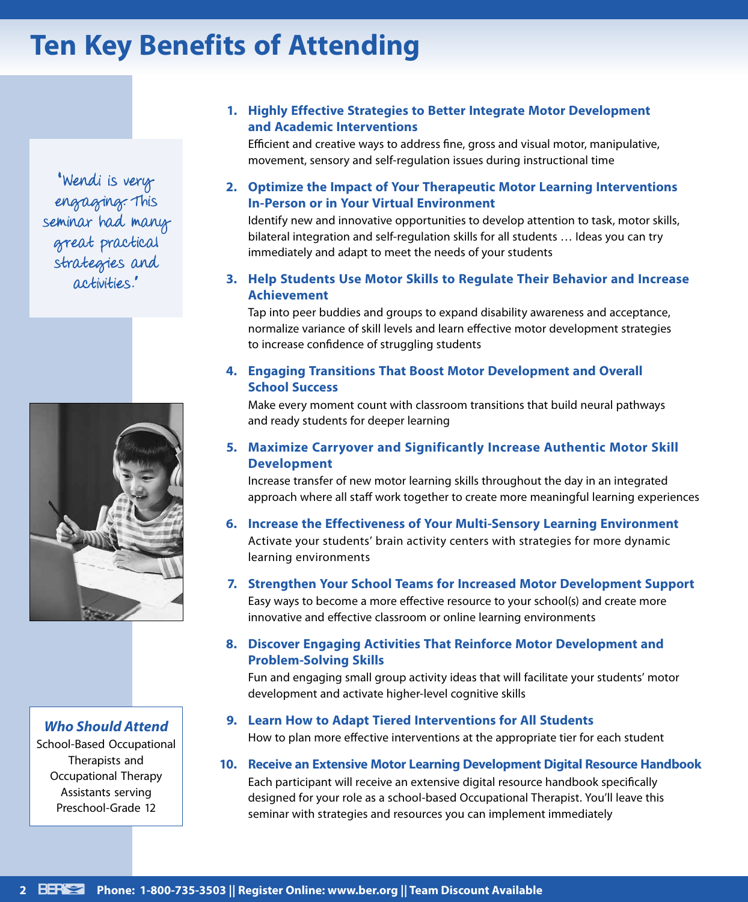# **Ten Key Benefits of Attending**

" Wendi is very engaging. This seminar had many great practical strategies and activities ."



### *Who Should Attend*

School-Based Occupational Therapists and Occupational Therapy Assistants serving Preschool-Grade 12

### **1. Highly Effective Strategies to Better Integrate Motor Development and Academic Interventions**

Efficient and creative ways to address fine, gross and visual motor, manipulative, movement, sensory and self-regulation issues during instructional time

### **2. Optimize the Impact of Your Therapeutic Motor Learning Interventions In-Person or in Your Virtual Environment**

Identify new and innovative opportunities to develop attention to task, motor skills, bilateral integration and self-regulation skills for all students … Ideas you can try immediately and adapt to meet the needs of your students

**3. Help Students Use Motor Skills to Regulate Their Behavior and Increase Achievement**

Tap into peer buddies and groups to expand disability awareness and acceptance, normalize variance of skill levels and learn effective motor development strategies to increase confidence of struggling students

**4. Engaging Transitions That Boost Motor Development and Overall School Success**

Make every moment count with classroom transitions that build neural pathways and ready students for deeper learning

**5. Maximize Carryover and Significantly Increase Authentic Motor Skill Development**

Increase transfer of new motor learning skills throughout the day in an integrated approach where all staff work together to create more meaningful learning experiences

- **6. Increase the Effectiveness of Your Multi-Sensory Learning Environment**  Activate your students' brain activity centers with strategies for more dynamic learning environments
- **7. Strengthen Your School Teams for Increased Motor Development Support**

Easy ways to become a more effective resource to your school(s) and create more innovative and effective classroom or online learning environments

**8. Discover Engaging Activities That Reinforce Motor Development and Problem-Solving Skills**

Fun and engaging small group activity ideas that will facilitate your students' motor development and activate higher-level cognitive skills

- **9. Learn How to Adapt Tiered Interventions for All Students** How to plan more effective interventions at the appropriate tier for each student
- **10. Receive an Extensive Motor Learning Development Digital Resource Handbook**

Each participant will receive an extensive digital resource handbook specifically designed for your role as a school-based Occupational Therapist. You'll leave this seminar with strategies and resources you can implement immediately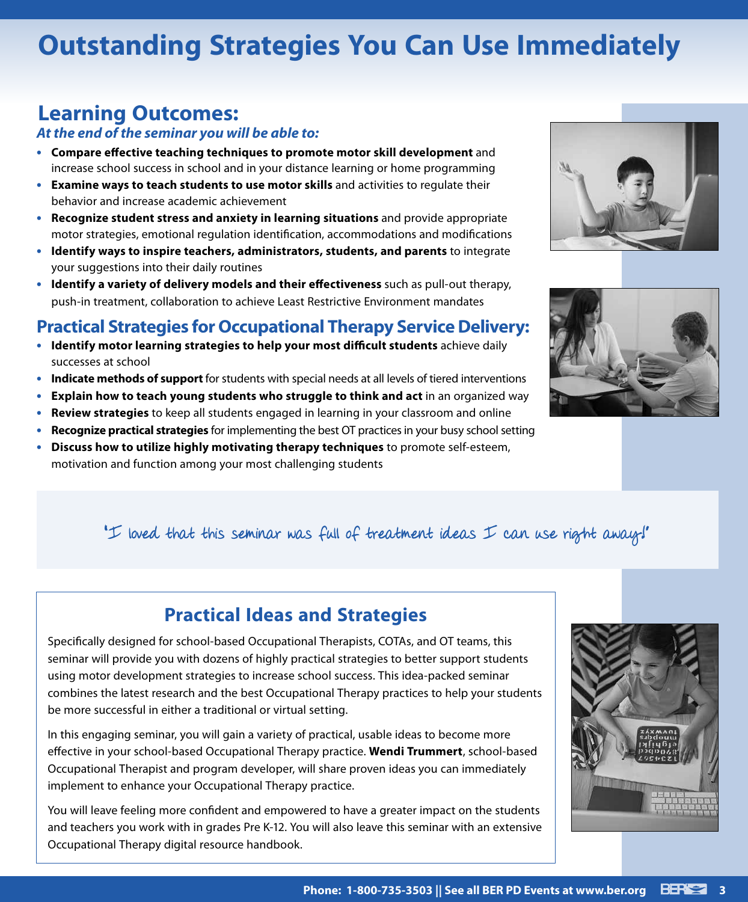# **Outstanding Strategies You Can Use Immediately**

## **Learning Outcomes:**

### *At the end of the seminar you will be able to:*

- **• Compare effective teaching techniques to promote motor skill development** and increase school success in school and in your distance learning or home programming
- **• Examine ways to teach students to use motor skills** and activities to regulate their behavior and increase academic achievement
- **• Recognize student stress and anxiety in learning situations** and provide appropriate motor strategies, emotional regulation identification, accommodations and modifications
- **• Identify ways to inspire teachers, administrators, students, and parents** to integrate your suggestions into their daily routines
- **• Identify a variety of delivery models and their effectiveness** such as pull-out therapy, push-in treatment, collaboration to achieve Least Restrictive Environment mandates

## **Practical Strategies for Occupational Therapy Service Delivery:**

- **• Identify motor learning strategies to help your most difficult students** achieve daily successes at school
- **• Indicate methods of support** for students with special needs at all levels of tiered interventions
- **• Explain how to teach young students who struggle to think and act** in an organized way
- **• Review strategies** to keep all students engaged in learning in your classroom and online
- **• Recognize practical strategies** for implementing the best OT practices in your busy school setting
- **• Discuss how to utilize highly motivating therapy techniques** to promote self-esteem, motivation and function among your most challenging students





## "I loved that this seminar was full of treatment ideas I can use right away?"

## **Practical Ideas and Strategies**

Specifically designed for school-based Occupational Therapists, COTAs, and OT teams, this seminar will provide you with dozens of highly practical strategies to better support students using motor development strategies to increase school success. This idea-packed seminar combines the latest research and the best Occupational Therapy practices to help your students be more successful in either a traditional or virtual setting.

In this engaging seminar, you will gain a variety of practical, usable ideas to become more effective in your school-based Occupational Therapy practice. **Wendi Trummert**, school-based Occupational Therapist and program developer, will share proven ideas you can immediately implement to enhance your Occupational Therapy practice.

You will leave feeling more confident and empowered to have a greater impact on the students and teachers you work with in grades Pre K-12. You will also leave this seminar with an extensive Occupational Therapy digital resource handbook.

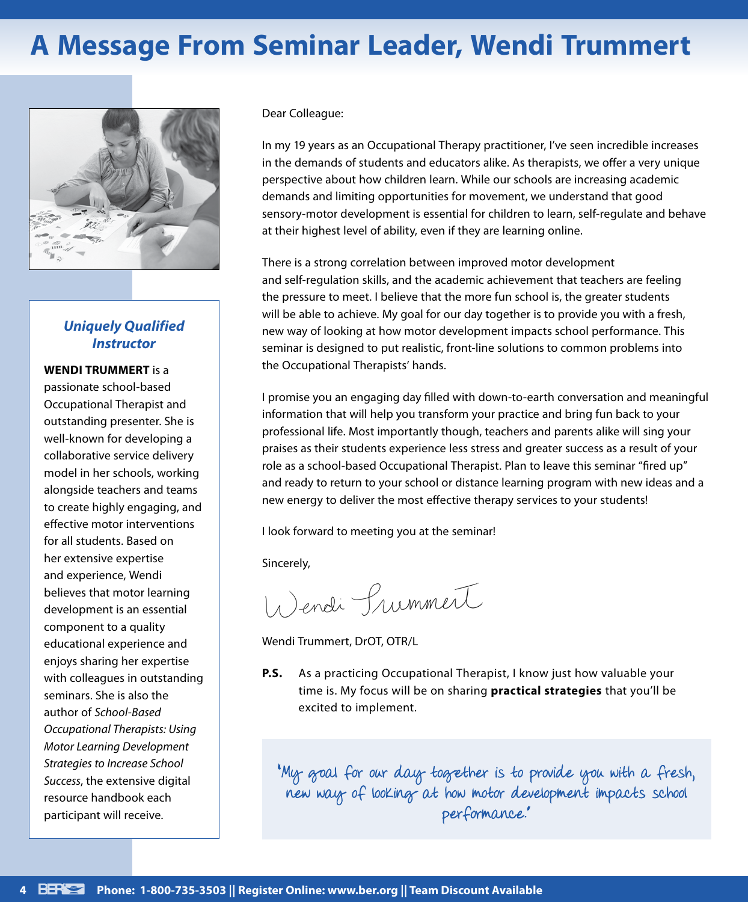# **A Message From Seminar Leader, Wendi Trummert**



### *Uniquely Qualified Instructor*

#### **WENDI TRUMMERT** is a

passionate school-based Occupational Therapist and outstanding presenter. She is well-known for developing a collaborative service delivery model in her schools, working alongside teachers and teams to create highly engaging, and effective motor interventions for all students. Based on her extensive expertise and experience, Wendi believes that motor learning development is an essential component to a quality educational experience and enjoys sharing her expertise with colleagues in outstanding seminars. She is also the author of *School-Based Occupational Therapists: Using Motor Learning Development Strategies to Increase School Success*, the extensive digital resource handbook each participant will receive.

#### Dear Colleague:

In my 19 years as an Occupational Therapy practitioner, I've seen incredible increases in the demands of students and educators alike. As therapists, we offer a very unique perspective about how children learn. While our schools are increasing academic demands and limiting opportunities for movement, we understand that good sensory-motor development is essential for children to learn, self-regulate and behave at their highest level of ability, even if they are learning online.

There is a strong correlation between improved motor development and self-regulation skills, and the academic achievement that teachers are feeling the pressure to meet. I believe that the more fun school is, the greater students will be able to achieve. My goal for our day together is to provide you with a fresh, new way of looking at how motor development impacts school performance. This seminar is designed to put realistic, front-line solutions to common problems into the Occupational Therapists' hands.

I promise you an engaging day filled with down-to-earth conversation and meaningful information that will help you transform your practice and bring fun back to your professional life. Most importantly though, teachers and parents alike will sing your praises as their students experience less stress and greater success as a result of your role as a school-based Occupational Therapist. Plan to leave this seminar "fired up" and ready to return to your school or distance learning program with new ideas and a new energy to deliver the most effective therapy services to your students!

I look forward to meeting you at the seminar!

Sincerely,

Wendi Summert

Wendi Trummert, DrOT, OTR/L

**P.S.** As a practicing Occupational Therapist, I know just how valuable your time is. My focus will be on sharing **practical strategies** that you'll be excited to implement.

"My goal for our day together is to provide you with a fresh, new way of looking at how motor development impacts school performance."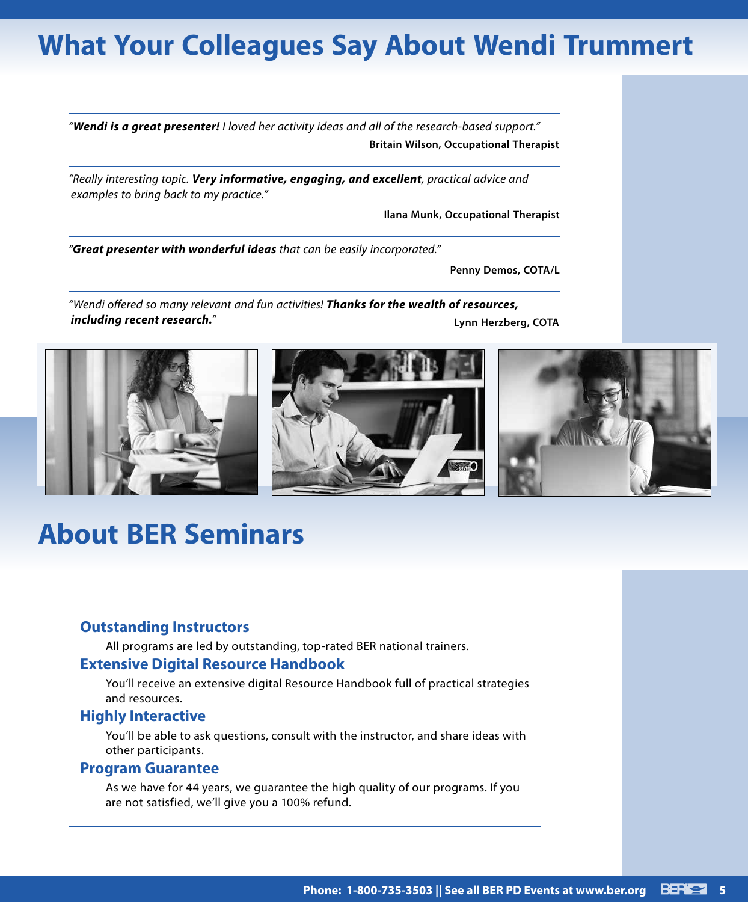# **What Your Colleagues Say About Wendi Trummert**

*"Wendi is a great presenter! I loved her activity ideas and all of the research-based support."* **Britain Wilson, Occupational Therapist**

*"Really interesting topic. Very informative, engaging, and excellent, practical advice and examples to bring back to my practice."*

**Ilana Munk, Occupational Therapist**

*"Great presenter with wonderful ideas that can be easily incorporated."*

**Penny Demos, COTA/L**

*"Wendi offered so many relevant and fun activities! Thanks for the wealth of resources, including recent research."* **Lynn Herzberg, COTA**



# **About BER Seminars**

### **Outstanding Instructors**

All programs are led by outstanding, top-rated BER national trainers.

### **Extensive Digital Resource Handbook**

You'll receive an extensive digital Resource Handbook full of practical strategies and resources.

### **Highly Interactive**

You'll be able to ask questions, consult with the instructor, and share ideas with other participants.

#### **Program Guarantee**

As we have for 44 years, we guarantee the high quality of our programs. If you are not satisfied, we'll give you a 100% refund.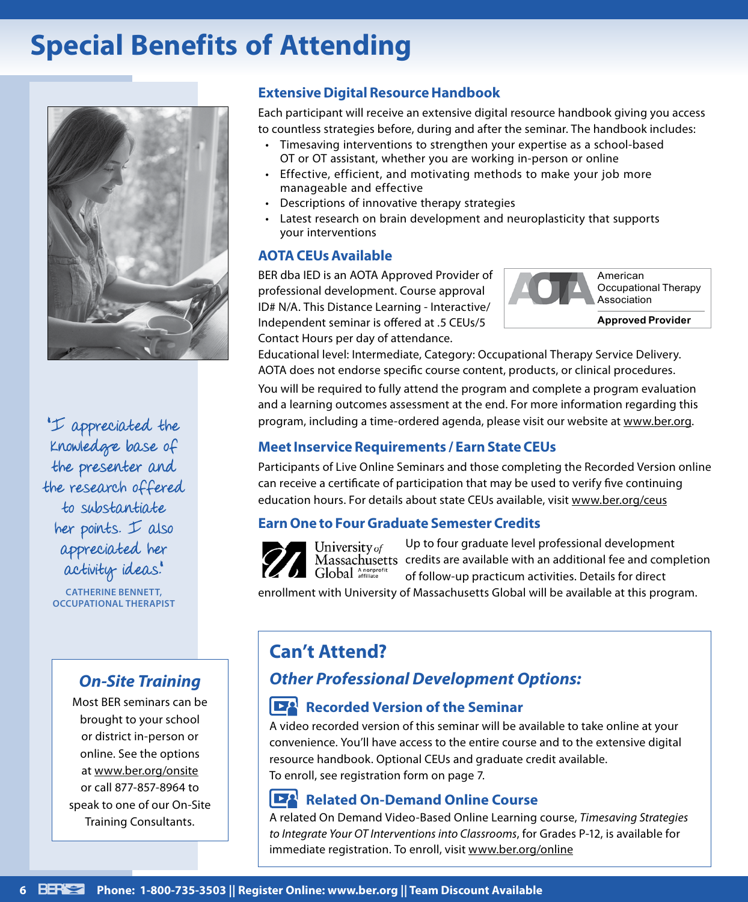# **Special Benefits of Attending**



"I appreciated the knowledge base of the presenter and the research offered to substantiate her points.  $I$  also appreciated her activity ideas."

**CATHERINE BENNETT, OCCUPATIONAL THERAPIST**

## *On‑Site Training*

Most BER seminars can be brought to your school or district in-person or online. See the options at www.ber.org/onsite or call 877-857-8964 to speak to one of our On-Site Training Consultants.

### **Extensive Digital Resource Handbook**

Each participant will receive an extensive digital resource handbook giving you access to countless strategies before, during and after the seminar. The handbook includes:

- Timesaving interventions to strengthen your expertise as a school-based OT or OT assistant, whether you are working in-person or online
- Effective, efficient, and motivating methods to make your job more manageable and effective
- Descriptions of innovative therapy strategies
- Latest research on brain development and neuroplasticity that supports your interventions

### **AOTA CEUs Available**

BER dba IED is an AOTA Approved Provider of professional development. Course approval ID# N/A. This Distance Learning - Interactive/ Independent seminar is offered at .5 CEUs/5 Contact Hours per day of attendance.



Educational level: Intermediate, Category: Occupational Therapy Service Delivery. AOTA does not endorse specific course content, products, or clinical procedures.

You will be required to fully attend the program and complete a program evaluation and a learning outcomes assessment at the end. For more information regarding this program, including a time-ordered agenda, please visit our website at www.ber.org.

### **Meet Inservice Requirements / Earn State CEUs**

Participants of Live Online Seminars and those completing the Recorded Version online can receive a certificate of participation that may be used to verify five continuing education hours. For details about state CEUs available, visit www.ber.org/ceus

### **Earn One to Four Graduate Semester Credits**

Up to four graduate level professional development University of Massachusetts credits are available with an additional fee and completion Global Anonprofit of follow-up practicum activities. Details for direct

enrollment with University of Massachusetts Global will be available at this program.

## **Can't Attend?**

## *Other Professional Development Options:*

### **Recorded Version of the Seminar**

A video recorded version of this seminar will be available to take online at your convenience. You'll have access to the entire course and to the extensive digital resource handbook. Optional CEUs and graduate credit available. To enroll, see registration form on page 7.

#### **IEA Related On-Demand Online Course**

A related On Demand Video-Based Online Learning course, *Timesaving Strategies to Integrate Your OT Interventions into Classrooms*, for Grades P-12, is available for immediate registration. To enroll, visit www.ber.org/online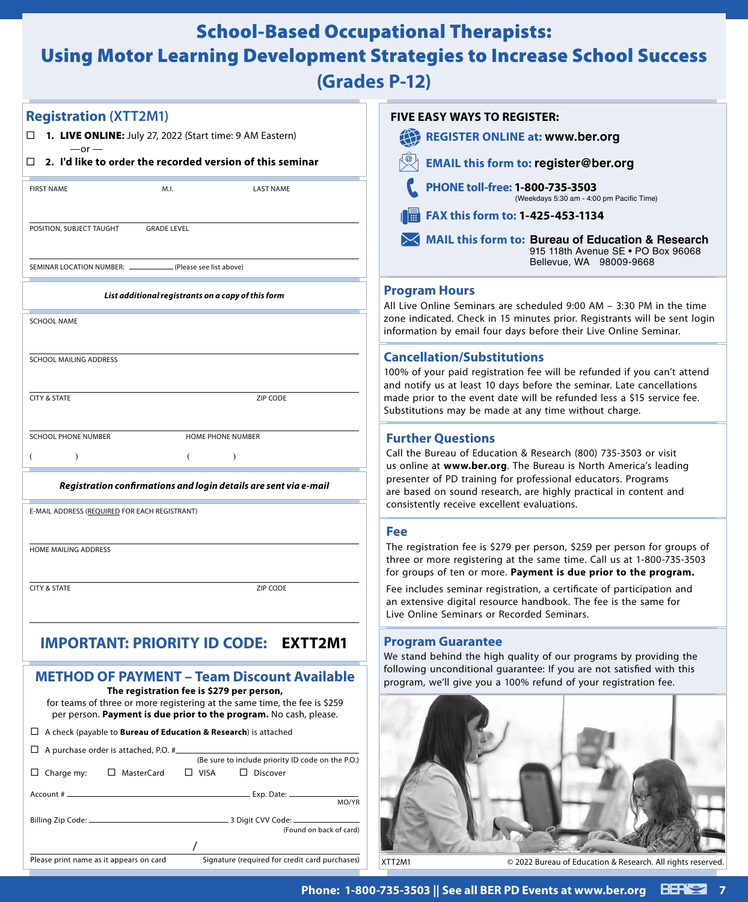## School-Based Occupational Therapists:

# Using Motor Learning Development Strategies to Increase School Success

**(Grades P-12)**

| <b>Registration (XTT2M1)</b>                                                                                                                                                                | <b>FIVE EASY WAYS TO REGISTER:</b>                                                                                                                                                     |
|---------------------------------------------------------------------------------------------------------------------------------------------------------------------------------------------|----------------------------------------------------------------------------------------------------------------------------------------------------------------------------------------|
| $\Box$ <b>1. LIVE ONLINE:</b> July 27, 2022 (Start time: 9 AM Eastern)<br>$-$ or $-$                                                                                                        | <b>REGISTER ONLINE at: www.ber.org</b>                                                                                                                                                 |
| $\Box$ 2. I'd like to order the recorded version of this seminar                                                                                                                            | <b>EMAIL this form to: register@ber.org</b>                                                                                                                                            |
| M.I.<br><b>FIRST NAME</b><br><b>LAST NAME</b>                                                                                                                                               | PHONE toll-free: 1-800-735-3503<br>(Weekdays 5:30 am - 4:00 pm Pacific Time)                                                                                                           |
|                                                                                                                                                                                             | ¶■<br>FAX this form to: 1-425-453-1134                                                                                                                                                 |
| POSITION, SUBJECT TAUGHT<br><b>GRADE LEVEL</b>                                                                                                                                              | MAIL this form to: Bureau of Education & Research<br>915 118th Avenue SE . PO Box 96068<br>Bellevue, WA 98009-9668                                                                     |
| SEMINAR LOCATION NUMBER: ______<br>. (Please see list above)                                                                                                                                |                                                                                                                                                                                        |
| List additional registrants on a copy of this form                                                                                                                                          | <b>Program Hours</b><br>All Live Online Seminars are scheduled 9:00 AM - 3:30 PM in the time                                                                                           |
| <b>SCHOOL NAME</b>                                                                                                                                                                          | zone indicated. Check in 15 minutes prior. Registrants will be sent login<br>information by email four days before their Live Online Seminar.                                          |
| SCHOOL MAILING ADDRESS                                                                                                                                                                      | <b>Cancellation/Substitutions</b>                                                                                                                                                      |
|                                                                                                                                                                                             | 100% of your paid registration fee will be refunded if you can't attend<br>and notify us at least 10 days before the seminar. Late cancellations                                       |
| <b>CITY &amp; STATE</b><br>ZIP CODE                                                                                                                                                         | made prior to the event date will be refunded less a \$15 service fee.<br>Substitutions may be made at any time without charge.                                                        |
| <b>SCHOOL PHONE NUMBER</b><br>HOME PHONE NUMBER                                                                                                                                             | <b>Further Questions</b>                                                                                                                                                               |
|                                                                                                                                                                                             | Call the Bureau of Education & Research (800) 735-3503 or visit<br>us online at www.ber.org. The Bureau is North America's leading                                                     |
| Registration confirmations and login details are sent via e-mail                                                                                                                            | presenter of PD training for professional educators. Programs<br>are based on sound research, are highly practical in content and                                                      |
| E-MAIL ADDRESS (REQUIRED FOR EACH REGISTRANT)                                                                                                                                               | consistently receive excellent evaluations.                                                                                                                                            |
|                                                                                                                                                                                             | <b>Fee</b><br>The registration fee is \$279 per person, \$259 per person for groups of                                                                                                 |
| HOME MAILING ADDRESS                                                                                                                                                                        | three or more registering at the same time. Call us at 1-800-735-3503<br>for groups of ten or more. Payment is due prior to the program.                                               |
| <b>CITY &amp; STATE</b><br>ZIP CODE                                                                                                                                                         | Fee includes seminar registration, a certificate of participation and<br>an extensive digital resource handbook. The fee is the same for<br>Live Online Seminars or Recorded Seminars. |
| <b>IMPORTANT: PRIORITY ID CODE:</b><br>EXTT2M1                                                                                                                                              | Program Guarantee                                                                                                                                                                      |
|                                                                                                                                                                                             | We stand behind the high quality of our programs by providing the                                                                                                                      |
| <b>METHOD OF PAYMENT - Team Discount Available</b>                                                                                                                                          | following unconditional guarantee: If you are not satisfied with this<br>program, we'll give you a 100% refund of your registration fee.                                               |
| The registration fee is \$279 per person,<br>for teams of three or more registering at the same time, the fee is \$259<br>per person. Payment is due prior to the program. No cash, please. |                                                                                                                                                                                        |
| $\Box$ A check (payable to <b>Bureau of Education &amp; Research</b> ) is attached                                                                                                          |                                                                                                                                                                                        |
| $\Box$ A purchase order is attached, P.O. $\#$<br>(Be sure to include priority ID code on the P.O.)                                                                                         |                                                                                                                                                                                        |
| $\Box$ Charge my:<br>□ MasterCard<br>$\Box$ Discover<br>$\Box$ VISA                                                                                                                         |                                                                                                                                                                                        |
| MO/YR                                                                                                                                                                                       |                                                                                                                                                                                        |
| (Found on back of card)                                                                                                                                                                     |                                                                                                                                                                                        |
| Signature (required for credit card purchases)<br>Please print name as it appears on card                                                                                                   | XTT2M1<br>© 2022 Bureau of Education & Research. All rights reserve                                                                                                                    |

reserved.